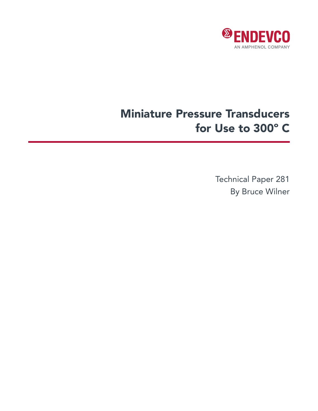

# Miniature Pressure Transducers for Use to 300º C

Technical Paper 281 By Bruce Wilner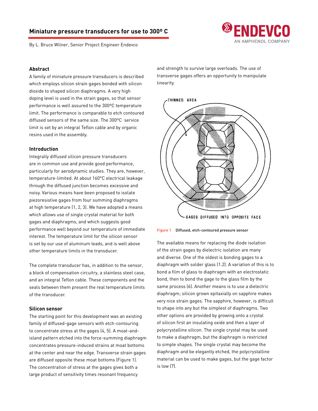## **Miniature pressure transducers for use to 300º C**

By L. Bruce Wilner, Senior Project Engineer Endevco



#### **Abstract**

A family of miniature pressure transducers is described which employs silicon strain gages bonded with silicon dioxide to shaped silicon diaphragms. A very high doping level is used in the strain gages, so that sensor performance is well assured to the 300ºC temperature limit. The performance is comparable to etch contoured diffused sensors of the same size. The 300ºC service limit is set by an integral Teflon cable and by organic resins used in the assembly.

#### **Introduction**

Integrally diffused silicon pressure transducers are in common use and provide good performance, particularly for aerodynamic studies. They are, however, temperature-limited. At about 160°C electrical leakage through the diffused junction becomes excessive and noisy. Various means have been proposed to isolate piezoresistive gages from four summing diaphragms at high temperature (1, 2, 3). We have adopted a means which allows use of single crystal material for both gages and diaphragms, and which suggests good performance well beyond our temperature of immediate interest. The temperature limit for the silicon sensor is set by our use of aluminum leads, and is well above other temperature limits in the transducer.

The complete transducer has, in addition to the sensor, a block of compensation circuitry, a stainless steel case, and an integral Teflon cable. These components and the seals between them present the real temperature limits of the transducer.

## **Silicon sensor**

The starting point for this development was an existing family of diffused-gage sensors with etch-contouring to concentrate stress at the gages (4, 5). A moat-andisland pattern etched into the force-summing diaphragm concentrates pressure-induced strains at moat bottoms at the center and near the edge. Transverse strain gages are diffused opposite these moat bottoms (Figure 1). The concentration of stress at the gages gives both a large product of sensitivity times resonant frequency

and strength to survive large overloads. The use of transverse gages offers an opportunity to manipulate linearity.



Figure 1 Diffused, etch-contoured pressure sensor

The available means for replacing the diode isolation of the strain gages by dielectric isolation are many and diverse. One of the oldest is bonding gages to a diaphragm with solder glass (1.2). A variation of this is to bond a film of glass to diaphragm with an electrostatic bond, then to bond the gage to the glass film by the same process (6). Another means is to use a dielectric diaphragm; silicon grown epitaxially on sapphire makes very nice strain gages. The sapphire, however, is difficult to shape into any but the simplest of diaphragms. Two other options are provided by growing onto a crystal of silicon first an insulating oxide and then a layer of polycrystalline silicon. The single crystal may be used to make a diaphragm, but the diaphragm is restricted to simple shapes. The single crystal may become the diaphragm and be elegantly etched, the polycrystalline material can be used to make gages, but the gage factor is low (7).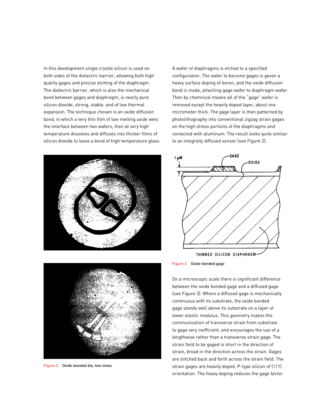In this development single crystal silicon is used on both sides of the dielectric barrier, allowing both high quality gages and precise etching of the diaphragm. The dielectric barrier, which is also the mechanical bond between gages and diaphragm, is nearly pure silicon dioxide, strong, stable, and of low thermal expansion. The technique chosen is an oxide diffusion bond, in which a very thin film of low melting oxide wets the interface between two wafers, then at very high temperature dissolves and diffuses into thicker films of silicon dioxide to leave a bond of high temperature glass.



A wafer of diaphragms is etched to a specified configuration. The wafer to become gages is geven a heavy surface doping of boron, and the oxide diffusion bond is made, attaching gage wafer to diaphragm wafer. Then by chemnical means all of the "gage" wafer is removed except the heavily doped layer, about one micrometer thick. The gage layer is then patterned by photolithography into conventional zigzag strain gages on the high stress portions of the diaphragms and contacted with aluminum. The result looks quite similar to an integrally diffused sensor (see Figure 2).





On a microscopic scale there is significant difference between the oxide bonded gage and a diffused gage (see Figure 3). Where a diffused gage is mechanically continuous with its substrate, the oxide bonded gage stands well above its substrate on a layer of lower elastic modulus. This geometry makes the communication of transverse strain from substrate to gage very inefficient, and encourages the use of a lengthwise rather than a transverse strain gage. The strain field to be gaged is short in the direction of strain, broad in the direction across the strain. Gages are stitched back and forth across the strain field. The strain gages are heavily doped, P-type silicon of (111) orientation. The heavy doping reduces the gage factor



Figure 2 Oxide-bonded die, two views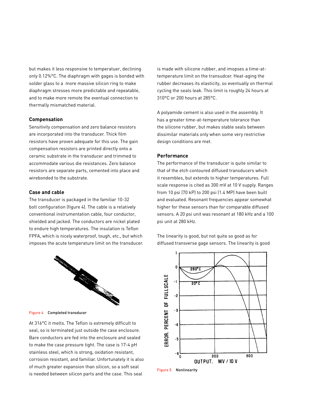but makes it less responsive to temperatuer, declining only 0.12%°C. The diaphragm with gages is bonded with solder glass to a more massive silicon ring to make diaphragm stresses more predictable and repeatable, and to make more remote the eventual connection to thermally mismatched material.

## **Compensation**

Sensitivity compensation and zero balance resistors are incorporated into the transducer. Thick film resistors have proven adequate for this use. The gain compensation resistors are printed directly onto a ceramic substrate in the transducer and trimmed to accommodate various die resistances. Zero balance resistors are separate parts, cemented into place and wirebonded to the substrate.

#### **Case and cable**

The transducer is packaged in the familiar 10-32 bolt configuration (figure 4). The cable is a relatively conventional instrumentation cable, four conductor, shielded and jacked. The conductors are nickel plated to endure high temperatures. The insulation is Teflon FPFA, which is nicely waterproof, tough, etc., but which imposes the acute temperature limit on the transducer.



Figure 4 Completed transducer

At 316°C it melts. The Teflon is extremely difficult to seal, so is terminated just outside the case enclosure. Bare conductors are fed into the enclosure and sealed to make the case pressure tight. The case is 17-4 pH stainless steel, which is strong, oxidation resistant, corrosion resistant, and familiar. Unfortunately it is also of much greater expansion than silicon, so a soft seal is needed between silicon parts and the case. This seal

is made with silicone rubber, and imopses a time-attemperature limit on the transudcer. Heat-aging the rubber decreases its elasticity, so eventually on thermal cycling the seals leak. This limit is roughly 24 hours at 310°C or 200 hours at 285°C.

A polyamide cement is also used in the assembly. It has a greater time-at-temperature tolerance than the silicone rubber, but makes stable seals between dissimilar materials only when some very restrictive design conditions are met.

#### **Performance**

The performance of the transducer is quite similar to that of the etch contoured diffused transducers which it resembles, but extends to higher temperatures. Full scale response is cited as 300 mV at 10 V supply. Ranges from 10 psi (70 kP) to 200 psi (1.4 MP) have been built and evaluated. Resonant frequencies appear somewhat higher for these sensors than for comparable diffused sensors. A 20 psi unit was resonant at 180 kHz and a 100 psi unit at 280 kHz.

The linearity is good, but not quite so good as for diffused transverse gage sensors. The linearity is good



Figure 5 Nonlinearity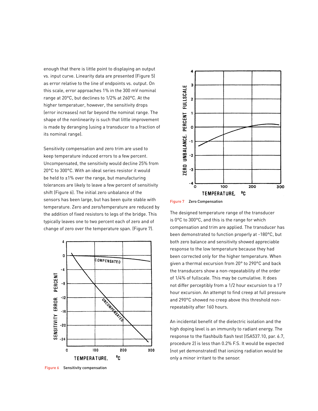enough that there is little point to displaying an output vs. input curve. Linearity data are presented (Figure 5) as error relative to the line of endpoints vs. output. On this scale, error approaches 1% in the 300 mV nominal range at 20°C, but declines to 1/2% at 260°C. At the higher temperatuer, however, the sensitivity drops (error increases) not far beyond the nominal range. The shape of the nonlinearity is such that little improvement is made by deranging (using a transducer to a fraction of its nominal range).

Sensitivity compensation and zero trim are used to keep temperature induced errors to a few percent. Uncompensated, the sensitivity would decline 25% from 20°C to 300°C. With an ideal series resistor it would be held to  $\pm 1\%$  over the range, but manufacturing tolerances are likely to leave a few percent of sensitivity shift (Figure 6). The initial zero unbalance of the sensors has been large, but has been quite stable with temperature. Zero and zero/temperature are reduced by the addition of fixed resistors to legs of the bridge. This typically leaves one to two percent each of zero and of change of zero over the temperature span. (Figure 7).



Figure 6 Sensitivity compensation



Figure 7 Zero Compensation

The designed temperature range of the transducer is 0°C to 300°C, and this is the range for which compensation and trim are applied. The transducer has been demonstrated to function properly at -180°C, but both zero balance and sensitivity showed appreciable response to the low temperature because they had been corrected only for the higher temperature. When given a thermal excursion from 20° to 290°C and back the transducers show a non-repeatability of the order of 1/4% of fullscale. This may be cumulative. It does not differ perceptibly from a 1/2 hour excursion to a 17 hour excursion. An attempt to find creep at full pressure and 290°C showed no creep above this threshold nonrepeatabiity after 160 hours.

An incidental benefit of the dielectric isolation and the high doping level is an immunity to radiant energy. The response to the flashbulb flash test (ISA537.10, par. 6.7, procedure 2) is less than 0.2% F.S. It would be expected (not yet demonstrated) that ionizing radiation would be only a minor irritant to the sensor.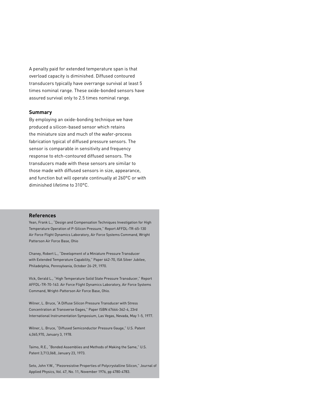A penalty paid for extended temperature span is that overload capacity is diminished. Diffused contoured transducers typically have overrange survival at least 5 times nominal range. These oxide-bonded sensors have assured survival only to 2.5 times nominal range.

#### **Summary**

By employing an oxide-bonding technique we have produced a silicon-based sensor which retains the miniature size and much of the wafer-process fabrication typical of diffused pressure sensors. The sensor is comparable in sensitivity and frequency response to etch-contoured diffused sensors. The transducers made with these sensors are similar to those made with diffused sensors in size, appearance, and function but will operate continually at 260°C or with diminished lifetime to 310°C.

#### **References**

Yean, Frank L., "Design and Compensation Techniques Investigation for High Temperature Operation of P-Silicon Pressure," Report AFFDL-TR-65-130 Air Force Flight Dynamics Laboratory, Air Force Systems Command, Wright Patterson Air Force Base, Ohio

Chaney, Robert L., "Development of a Miniature Pressure Transducer with Extended Temperature Capability," Paper 642-70, ISA Silver Jubilee, Philadelphia, Pennsylvania, October 26-29, 1970.

VIck, Gerald L., "High Temperature Solid State Pressure Transducer," Report AFFDL-TR-70-163. Air Force Flight Dynamics Laboratory, Air Force Systems Command, Wright-Patterson Air Force Base, Ohio.

Wilner, L. Bruce, "A Diffuse Silicon Pressure Transducer with Stress Concentration at Transverse Gages," Paper ISBN 67664-362-4, 23rd International Instrumentation Symposium, Las Vegas, Nevada, May 1-5, 1977.

Wilner, L. Bruce, "Diffused Semiconductor Pressure Gauge," U.S. Patent 4,065,970, January 3, 1978.

Taimo, R.E., "Bonded Assemblies and Methods of Making the Same," U.S. Patent 3,713,068, January 23, 1973.

Seto, John Y.W., "Piezoresistive Properties of Polycrystalline Silicon," Journal of Applied Physics, Vol. 47, No. 11, November 1976, pp 4780-4783.